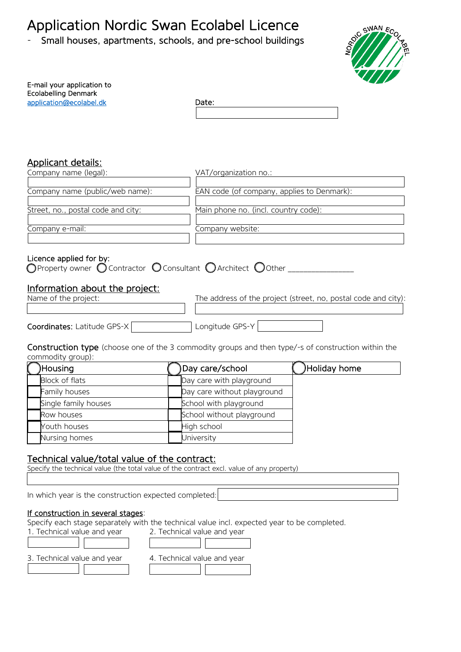# Application Nordic Swan Ecolabel Licence<br>- Small houses, apartments, schools, and pre-school buildings



| E-mail your application to<br>Ecolabelling Denmark |       |
|----------------------------------------------------|-------|
| application@ecolabel.dk                            | Date: |
|                                                    |       |

## Applicant details:

| Company name (legal):              | VAT/organization no.:                      |
|------------------------------------|--------------------------------------------|
| Company name (public/web name):    | EAN code (of company, applies to Denmark): |
| Street, no., postal code and city: | Main phone no. (incl. country code):       |
| Company e-mail:                    | Company website:                           |
|                                    |                                            |

#### Licence applied for by:

| $\bigcirc$ Property owner $\bigcirc$ Contractor $\bigcirc$ Consultant $\bigcirc$ Architect $\bigcirc$ Other |  |  |  |  |  |
|-------------------------------------------------------------------------------------------------------------|--|--|--|--|--|
|-------------------------------------------------------------------------------------------------------------|--|--|--|--|--|

## Information about the project:

|  | Name of the project: |
|--|----------------------|
|  |                      |

The address of the project (street, no, postal code and city):

| <b>Coordinates:</b> Latitude GPS-X | Longitude GPS-Y |  |
|------------------------------------|-----------------|--|

#### Construction type (choose one of the 3 commodity groups and then type/-s of construction within the commodity group):

| <b>Housing</b>       | Day care/school             | Holiday home |
|----------------------|-----------------------------|--------------|
| Block of flats       | Day care with playground    |              |
| Family houses        | Day care without playground |              |
| Single family houses | School with playground      |              |
| Row houses           | School without playground   |              |
| Youth houses         | High school                 |              |
| Nursing homes        | University                  |              |

# Technical value/total value of the contract:

Specify the technical value (the total value of the contract excl. value of any property)

In which year is the construction expected completed:

### If construction in several stages:

Ī

Specify each stage separately with the technical value incl. expected year to be completed.